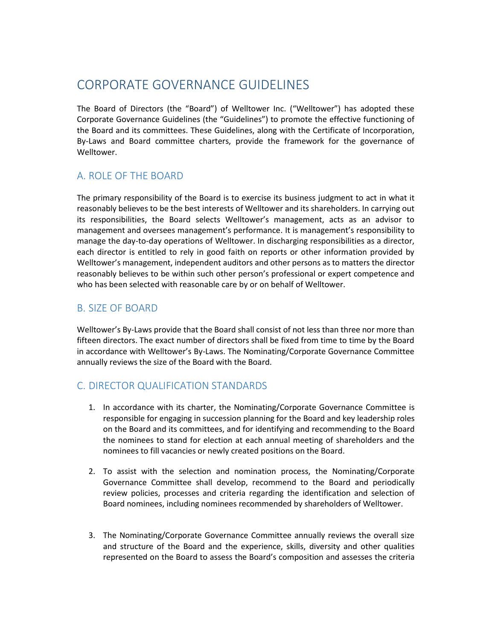# CORPORATE GOVERNANCE GUIDELINES

The Board of Directors (the "Board") of Welltower Inc. ("Welltower") has adopted these Corporate Governance Guidelines (the "Guidelines") to promote the effective functioning of the Board and its committees. These Guidelines, along with the Certificate of Incorporation, By-Laws and Board committee charters, provide the framework for the governance of Welltower.

# A. ROLE OF THE BOARD

The primary responsibility of the Board is to exercise its business judgment to act in what it reasonably believes to be the best interests of Welltower and its shareholders. In carrying out its responsibilities, the Board selects Welltower's management, acts as an advisor to management and oversees management's performance. It is management's responsibility to manage the day-to-day operations of Welltower. In discharging responsibilities as a director, each director is entitled to rely in good faith on reports or other information provided by Welltower's management, independent auditors and other persons as to matters the director reasonably believes to be within such other person's professional or expert competence and who has been selected with reasonable care by or on behalf of Welltower.

### B. SIZE OF BOARD

Welltower's By-Laws provide that the Board shall consist of not less than three nor more than fifteen directors. The exact number of directors shall be fixed from time to time by the Board in accordance with Welltower's By-Laws. The Nominating/Corporate Governance Committee annually reviews the size of the Board with the Board.

# C. DIRECTOR QUALIFICATION STANDARDS

- 1. In accordance with its charter, the Nominating/Corporate Governance Committee is responsible for engaging in succession planning for the Board and key leadership roles on the Board and its committees, and for identifying and recommending to the Board the nominees to stand for election at each annual meeting of shareholders and the nominees to fill vacancies or newly created positions on the Board.
- 2. To assist with the selection and nomination process, the Nominating/Corporate Governance Committee shall develop, recommend to the Board and periodically review policies, processes and criteria regarding the identification and selection of Board nominees, including nominees recommended by shareholders of Welltower.
- 3. The Nominating/Corporate Governance Committee annually reviews the overall size and structure of the Board and the experience, skills, diversity and other qualities represented on the Board to assess the Board's composition and assesses the criteria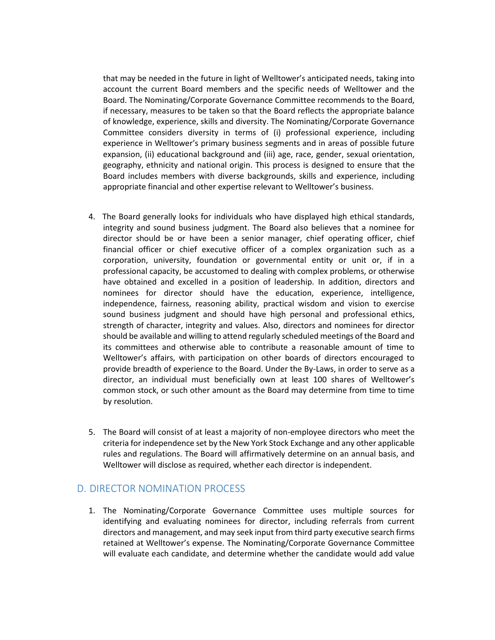that may be needed in the future in light of Welltower's anticipated needs, taking into account the current Board members and the specific needs of Welltower and the Board. The Nominating/Corporate Governance Committee recommends to the Board, if necessary, measures to be taken so that the Board reflects the appropriate balance of knowledge, experience, skills and diversity. The Nominating/Corporate Governance Committee considers diversity in terms of (i) professional experience, including experience in Welltower's primary business segments and in areas of possible future expansion, (ii) educational background and (iii) age, race, gender, sexual orientation, geography, ethnicity and national origin. This process is designed to ensure that the Board includes members with diverse backgrounds, skills and experience, including appropriate financial and other expertise relevant to Welltower's business.

- 4. The Board generally looks for individuals who have displayed high ethical standards, integrity and sound business judgment. The Board also believes that a nominee for director should be or have been a senior manager, chief operating officer, chief financial officer or chief executive officer of a complex organization such as a corporation, university, foundation or governmental entity or unit or, if in a professional capacity, be accustomed to dealing with complex problems, or otherwise have obtained and excelled in a position of leadership. In addition, directors and nominees for director should have the education, experience, intelligence, independence, fairness, reasoning ability, practical wisdom and vision to exercise sound business judgment and should have high personal and professional ethics, strength of character, integrity and values. Also, directors and nominees for director should be available and willing to attend regularly scheduled meetings of the Board and its committees and otherwise able to contribute a reasonable amount of time to Welltower's affairs, with participation on other boards of directors encouraged to provide breadth of experience to the Board. Under the By-Laws, in order to serve as a director, an individual must beneficially own at least 100 shares of Welltower's common stock, or such other amount as the Board may determine from time to time by resolution.
- 5. The Board will consist of at least a majority of non-employee directors who meet the criteria for independence set by the New York Stock Exchange and any other applicable rules and regulations. The Board will affirmatively determine on an annual basis, and Welltower will disclose as required, whether each director is independent.

### D. DIRECTOR NOMINATION PROCESS

1. The Nominating/Corporate Governance Committee uses multiple sources for identifying and evaluating nominees for director, including referrals from current directors and management, and may seek input from third party executive search firms retained at Welltower's expense. The Nominating/Corporate Governance Committee will evaluate each candidate, and determine whether the candidate would add value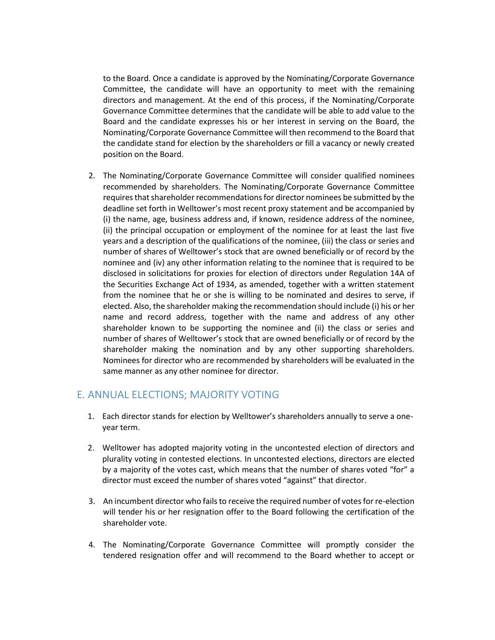to the Board. Once a candidate is approved by the Nominating/Corporate Governance Committee, the candidate will have an opportunity to meet with the remaining directors and management. At the end of this process, if the Nominating/Corporate Governance Committee determines that the candidate will be able to add value to the Board and the candidate expresses his or her interest in serving on the Board, the Nominating/Corporate Governance Committee will then recommend to the Board that the candidate stand for election by the shareholders or fill a vacancy or newly created position on the Board.

2. The Nominating/Corporate Governance Committee will consider qualified nominees recommended by shareholders. The Nominating/Corporate Governance Committee requires that shareholder recommendations for director nominees be submitted by the deadline set forth in Welltower's most recent proxy statement and be accompanied by (i) the name, age, business address and, if known, residence address of the nominee, (ii) the principal occupation or employment of the nominee for at least the last five years and a description of the qualifications of the nominee, (iii) the class or series and number of shares of Welltower's stock that are owned beneficially or of record by the nominee and (iv) any other information relating to the nominee that is required to be disclosed in solicitations for proxies for election of directors under Regulation 14A of the Securities Exchange Act of 1934, as amended, together with a written statement from the nominee that he or she is willing to be nominated and desires to serve, if elected. Also, the shareholder making the recommendation should include (i) his or her name and record address, together with the name and address of any other shareholder known to be supporting the nominee and (ii) the class or series and number of shares of Welltower's stock that are owned beneficially or of record by the shareholder making the nomination and by any other supporting shareholders. Nominees for director who are recommended by shareholders will be evaluated in the same manner as any other nominee for director.

# E. ANNUAL ELECTIONS; MAJORITY VOTING

- 1. Each director stands for election by Welltower's shareholders annually to serve a oneyear term.
- 2. Welltower has adopted majority voting in the uncontested election of directors and plurality voting in contested elections. In uncontested elections, directors are elected by a majority of the votes cast, which means that the number of shares voted "for" a director must exceed the number of shares voted "against" that director.
- 3. An incumbent director who fails to receive the required number of votes for re-election will tender his or her resignation offer to the Board following the certification of the shareholder vote.
- 4. The Nominating/Corporate Governance Committee will promptly consider the tendered resignation offer and will recommend to the Board whether to accept or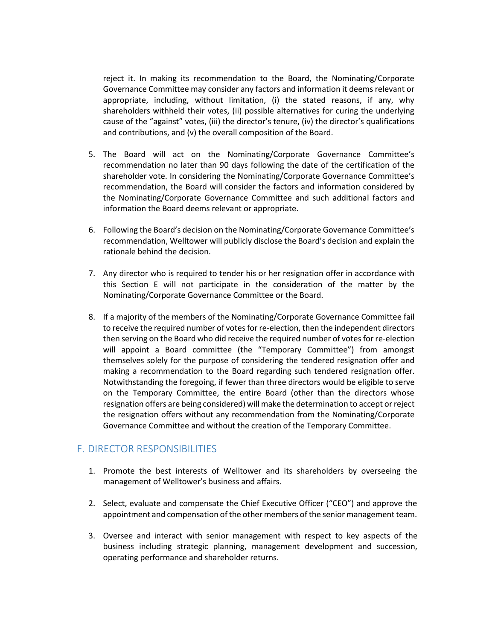reject it. In making its recommendation to the Board, the Nominating/Corporate Governance Committee may consider any factors and information it deems relevant or appropriate, including, without limitation, (i) the stated reasons, if any, why shareholders withheld their votes, (ii) possible alternatives for curing the underlying cause of the "against" votes, (iii) the director's tenure, (iv) the director's qualifications and contributions, and (v) the overall composition of the Board.

- 5. The Board will act on the Nominating/Corporate Governance Committee's recommendation no later than 90 days following the date of the certification of the shareholder vote. In considering the Nominating/Corporate Governance Committee's recommendation, the Board will consider the factors and information considered by the Nominating/Corporate Governance Committee and such additional factors and information the Board deems relevant or appropriate.
- 6. Following the Board's decision on the Nominating/Corporate Governance Committee's recommendation, Welltower will publicly disclose the Board's decision and explain the rationale behind the decision.
- 7. Any director who is required to tender his or her resignation offer in accordance with this Section E will not participate in the consideration of the matter by the Nominating/Corporate Governance Committee or the Board.
- 8. If a majority of the members of the Nominating/Corporate Governance Committee fail to receive the required number of votes for re-election, then the independent directors then serving on the Board who did receive the required number of votes for re-election will appoint a Board committee (the "Temporary Committee") from amongst themselves solely for the purpose of considering the tendered resignation offer and making a recommendation to the Board regarding such tendered resignation offer. Notwithstanding the foregoing, if fewer than three directors would be eligible to serve on the Temporary Committee, the entire Board (other than the directors whose resignation offers are being considered) will make the determination to accept or reject the resignation offers without any recommendation from the Nominating/Corporate Governance Committee and without the creation of the Temporary Committee.

### F. DIRECTOR RESPONSIBILITIES

- 1. Promote the best interests of Welltower and its shareholders by overseeing the management of Welltower's business and affairs.
- 2. Select, evaluate and compensate the Chief Executive Officer ("CEO") and approve the appointment and compensation of the other members of the senior management team.
- 3. Oversee and interact with senior management with respect to key aspects of the business including strategic planning, management development and succession, operating performance and shareholder returns.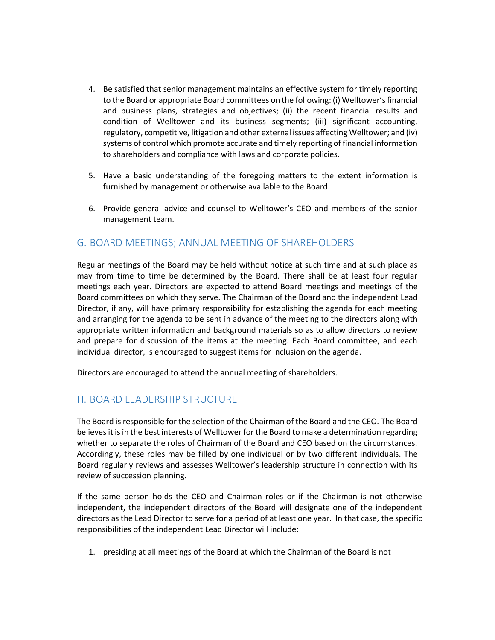- 4. Be satisfied that senior management maintains an effective system for timely reporting to the Board or appropriate Board committees on the following: (i) Welltower's financial and business plans, strategies and objectives; (ii) the recent financial results and condition of Welltower and its business segments; (iii) significant accounting, regulatory, competitive, litigation and other external issues affecting Welltower; and (iv) systems of control which promote accurate and timely reporting of financial information to shareholders and compliance with laws and corporate policies.
- 5. Have a basic understanding of the foregoing matters to the extent information is furnished by management or otherwise available to the Board.
- 6. Provide general advice and counsel to Welltower's CEO and members of the senior management team.

### G. BOARD MEETINGS; ANNUAL MEETING OF SHAREHOLDERS

Regular meetings of the Board may be held without notice at such time and at such place as may from time to time be determined by the Board. There shall be at least four regular meetings each year. Directors are expected to attend Board meetings and meetings of the Board committees on which they serve. The Chairman of the Board and the independent Lead Director, if any, will have primary responsibility for establishing the agenda for each meeting and arranging for the agenda to be sent in advance of the meeting to the directors along with appropriate written information and background materials so as to allow directors to review and prepare for discussion of the items at the meeting. Each Board committee, and each individual director, is encouraged to suggest items for inclusion on the agenda.

Directors are encouraged to attend the annual meeting of shareholders.

#### H. BOARD LEADERSHIP STRUCTURE

The Board is responsible for the selection of the Chairman of the Board and the CEO. The Board believes it is in the best interests of Welltower for the Board to make a determination regarding whether to separate the roles of Chairman of the Board and CEO based on the circumstances. Accordingly, these roles may be filled by one individual or by two different individuals. The Board regularly reviews and assesses Welltower's leadership structure in connection with its review of succession planning.

If the same person holds the CEO and Chairman roles or if the Chairman is not otherwise independent, the independent directors of the Board will designate one of the independent directors as the Lead Director to serve for a period of at least one year. In that case, the specific responsibilities of the independent Lead Director will include:

1. presiding at all meetings of the Board at which the Chairman of the Board is not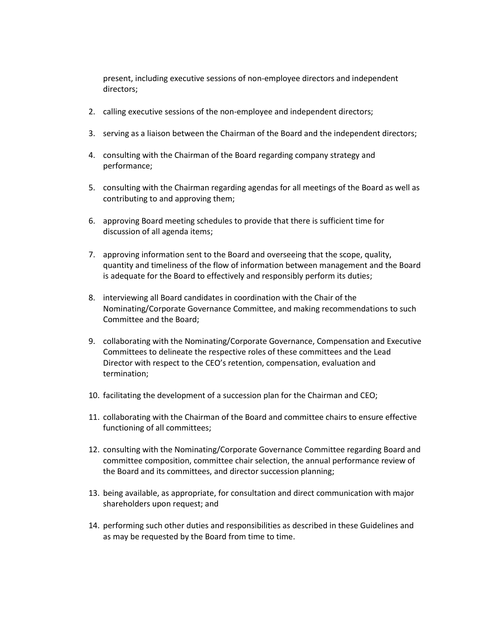present, including executive sessions of non-employee directors and independent directors;

- 2. calling executive sessions of the non-employee and independent directors;
- 3. serving as a liaison between the Chairman of the Board and the independent directors;
- 4. consulting with the Chairman of the Board regarding company strategy and performance;
- 5. consulting with the Chairman regarding agendas for all meetings of the Board as well as contributing to and approving them;
- 6. approving Board meeting schedules to provide that there is sufficient time for discussion of all agenda items;
- 7. approving information sent to the Board and overseeing that the scope, quality, quantity and timeliness of the flow of information between management and the Board is adequate for the Board to effectively and responsibly perform its duties;
- 8. interviewing all Board candidates in coordination with the Chair of the Nominating/Corporate Governance Committee, and making recommendations to such Committee and the Board;
- 9. collaborating with the Nominating/Corporate Governance, Compensation and Executive Committees to delineate the respective roles of these committees and the Lead Director with respect to the CEO's retention, compensation, evaluation and termination;
- 10. facilitating the development of a succession plan for the Chairman and CEO;
- 11. collaborating with the Chairman of the Board and committee chairs to ensure effective functioning of all committees;
- 12. consulting with the Nominating/Corporate Governance Committee regarding Board and committee composition, committee chair selection, the annual performance review of the Board and its committees, and director succession planning;
- 13. being available, as appropriate, for consultation and direct communication with major shareholders upon request; and
- 14. performing such other duties and responsibilities as described in these Guidelines and as may be requested by the Board from time to time.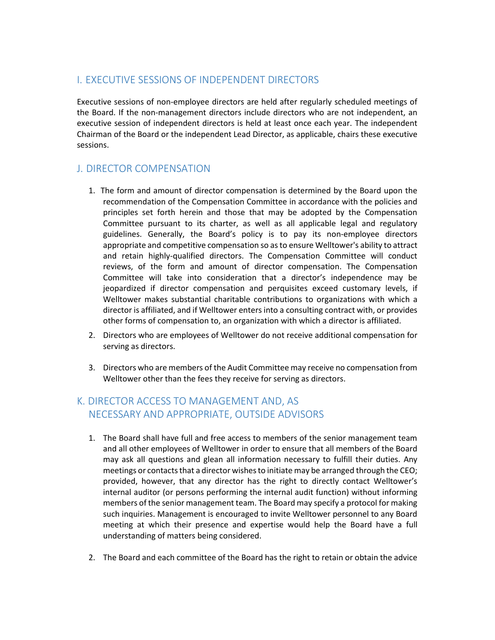# I. EXECUTIVE SESSIONS OF INDEPENDENT DIRECTORS

Executive sessions of non-employee directors are held after regularly scheduled meetings of the Board. If the non-management directors include directors who are not independent, an executive session of independent directors is held at least once each year. The independent Chairman of the Board or the independent Lead Director, as applicable, chairs these executive sessions.

# J. DIRECTOR COMPENSATION

- 1. The form and amount of director compensation is determined by the Board upon the recommendation of the Compensation Committee in accordance with the policies and principles set forth herein and those that may be adopted by the Compensation Committee pursuant to its charter, as well as all applicable legal and regulatory guidelines. Generally, the Board's policy is to pay its non-employee directors appropriate and competitive compensation so as to ensure Welltower's ability to attract and retain highly-qualified directors. The Compensation Committee will conduct reviews, of the form and amount of director compensation. The Compensation Committee will take into consideration that a director's independence may be jeopardized if director compensation and perquisites exceed customary levels, if Welltower makes substantial charitable contributions to organizations with which a director is affiliated, and if Welltower enters into a consulting contract with, or provides other forms of compensation to, an organization with which a director is affiliated.
- 2. Directors who are employees of Welltower do not receive additional compensation for serving as directors.
- 3. Directors who are members of the Audit Committee may receive no compensation from Welltower other than the fees they receive for serving as directors.

# K. DIRECTOR ACCESS TO MANAGEMENT AND, AS NECESSARY AND APPROPRIATE, OUTSIDE ADVISORS

- 1. The Board shall have full and free access to members of the senior management team and all other employees of Welltower in order to ensure that all members of the Board may ask all questions and glean all information necessary to fulfill their duties. Any meetings or contacts that a director wishes to initiate may be arranged through the CEO; provided, however, that any director has the right to directly contact Welltower's internal auditor (or persons performing the internal audit function) without informing members of the senior management team. The Board may specify a protocol for making such inquiries. Management is encouraged to invite Welltower personnel to any Board meeting at which their presence and expertise would help the Board have a full understanding of matters being considered.
- 2. The Board and each committee of the Board has the right to retain or obtain the advice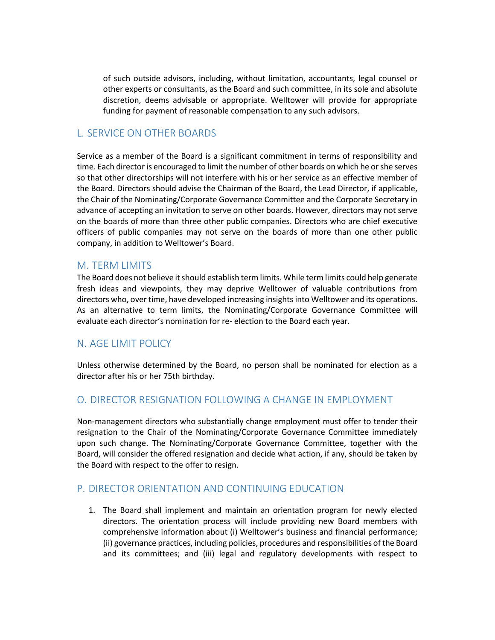of such outside advisors, including, without limitation, accountants, legal counsel or other experts or consultants, as the Board and such committee, in its sole and absolute discretion, deems advisable or appropriate. Welltower will provide for appropriate funding for payment of reasonable compensation to any such advisors.

### L. SERVICE ON OTHER BOARDS

Service as a member of the Board is a significant commitment in terms of responsibility and time. Each director is encouraged to limit the number of other boards on which he or she serves so that other directorships will not interfere with his or her service as an effective member of the Board. Directors should advise the Chairman of the Board, the Lead Director, if applicable, the Chair of the Nominating/Corporate Governance Committee and the Corporate Secretary in advance of accepting an invitation to serve on other boards. However, directors may not serve on the boards of more than three other public companies. Directors who are chief executive officers of public companies may not serve on the boards of more than one other public company, in addition to Welltower's Board.

#### M. TERM LIMITS

The Board does not believe it should establish term limits. While term limits could help generate fresh ideas and viewpoints, they may deprive Welltower of valuable contributions from directors who, over time, have developed increasing insights into Welltower and its operations. As an alternative to term limits, the Nominating/Corporate Governance Committee will evaluate each director's nomination for re- election to the Board each year.

### N. AGE LIMIT POLICY

Unless otherwise determined by the Board, no person shall be nominated for election as a director after his or her 75th birthday.

#### O. DIRECTOR RESIGNATION FOLLOWING A CHANGE IN EMPLOYMENT

Non-management directors who substantially change employment must offer to tender their resignation to the Chair of the Nominating/Corporate Governance Committee immediately upon such change. The Nominating/Corporate Governance Committee, together with the Board, will consider the offered resignation and decide what action, if any, should be taken by the Board with respect to the offer to resign.

### P. DIRECTOR ORIENTATION AND CONTINUING EDUCATION

1. The Board shall implement and maintain an orientation program for newly elected directors. The orientation process will include providing new Board members with comprehensive information about (i) Welltower's business and financial performance; (ii) governance practices, including policies, procedures and responsibilities of the Board and its committees; and (iii) legal and regulatory developments with respect to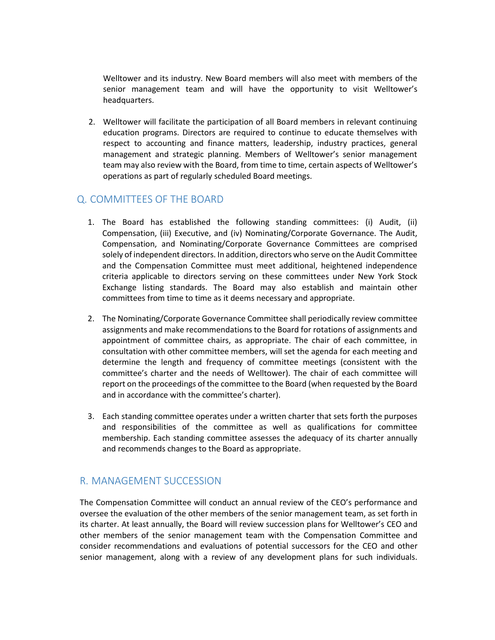Welltower and its industry. New Board members will also meet with members of the senior management team and will have the opportunity to visit Welltower's headquarters.

2. Welltower will facilitate the participation of all Board members in relevant continuing education programs. Directors are required to continue to educate themselves with respect to accounting and finance matters, leadership, industry practices, general management and strategic planning. Members of Welltower's senior management team may also review with the Board, from time to time, certain aspects of Welltower's operations as part of regularly scheduled Board meetings.

### Q. COMMITTEES OF THE BOARD

- 1. The Board has established the following standing committees: (i) Audit, (ii) Compensation, (iii) Executive, and (iv) Nominating/Corporate Governance. The Audit, Compensation, and Nominating/Corporate Governance Committees are comprised solely of independent directors. In addition, directors who serve on the Audit Committee and the Compensation Committee must meet additional, heightened independence criteria applicable to directors serving on these committees under New York Stock Exchange listing standards. The Board may also establish and maintain other committees from time to time as it deems necessary and appropriate.
- 2. The Nominating/Corporate Governance Committee shall periodically review committee assignments and make recommendations to the Board for rotations of assignments and appointment of committee chairs, as appropriate. The chair of each committee, in consultation with other committee members, will set the agenda for each meeting and determine the length and frequency of committee meetings (consistent with the committee's charter and the needs of Welltower). The chair of each committee will report on the proceedings of the committee to the Board (when requested by the Board and in accordance with the committee's charter).
- 3. Each standing committee operates under a written charter that sets forth the purposes and responsibilities of the committee as well as qualifications for committee membership. Each standing committee assesses the adequacy of its charter annually and recommends changes to the Board as appropriate.

# R. MANAGEMENT SUCCESSION

The Compensation Committee will conduct an annual review of the CEO's performance and oversee the evaluation of the other members of the senior management team, as set forth in its charter. At least annually, the Board will review succession plans for Welltower's CEO and other members of the senior management team with the Compensation Committee and consider recommendations and evaluations of potential successors for the CEO and other senior management, along with a review of any development plans for such individuals.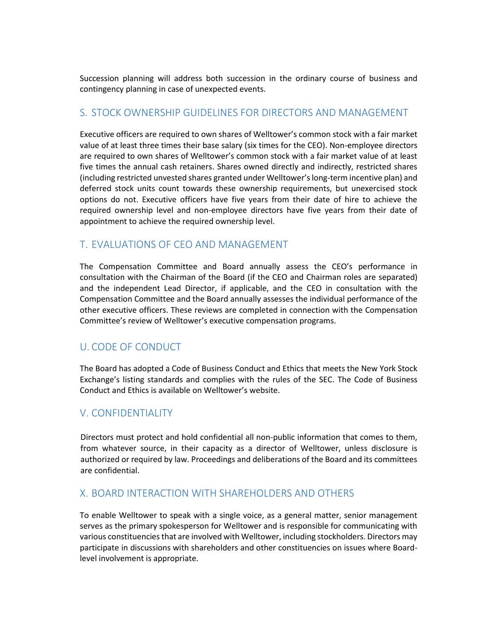Succession planning will address both succession in the ordinary course of business and contingency planning in case of unexpected events.

### S. STOCK OWNERSHIP GUIDELINES FOR DIRECTORS AND MANAGEMENT

Executive officers are required to own shares of Welltower's common stock with a fair market value of at least three times their base salary (six times for the CEO). Non-employee directors are required to own shares of Welltower's common stock with a fair market value of at least five times the annual cash retainers. Shares owned directly and indirectly, restricted shares (including restricted unvested shares granted under Welltower's long-term incentive plan) and deferred stock units count towards these ownership requirements, but unexercised stock options do not. Executive officers have five years from their date of hire to achieve the required ownership level and non-employee directors have five years from their date of appointment to achieve the required ownership level.

# T. EVALUATIONS OF CEO AND MANAGEMENT

The Compensation Committee and Board annually assess the CEO's performance in consultation with the Chairman of the Board (if the CEO and Chairman roles are separated) and the independent Lead Director, if applicable, and the CEO in consultation with the Compensation Committee and the Board annually assesses the individual performance of the other executive officers. These reviews are completed in connection with the Compensation Committee's review of Welltower's executive compensation programs.

# U. CODE OF CONDUCT

The Board has adopted a Code of Business Conduct and Ethics that meets the New York Stock Exchange's listing standards and complies with the rules of the SEC. The Code of Business Conduct and Ethics is available on Welltower's website.

# V. CONFIDENTIALITY

Directors must protect and hold confidential all non-public information that comes to them, from whatever source, in their capacity as a director of Welltower, unless disclosure is authorized or required by law. Proceedings and deliberations of the Board and its committees are confidential.

# X. BOARD INTERACTION WITH SHAREHOLDERS AND OTHERS

To enable Welltower to speak with a single voice, as a general matter, senior management serves as the primary spokesperson for Welltower and is responsible for communicating with various constituencies that are involved with Welltower, including stockholders. Directors may participate in discussions with shareholders and other constituencies on issues where Boardlevel involvement is appropriate.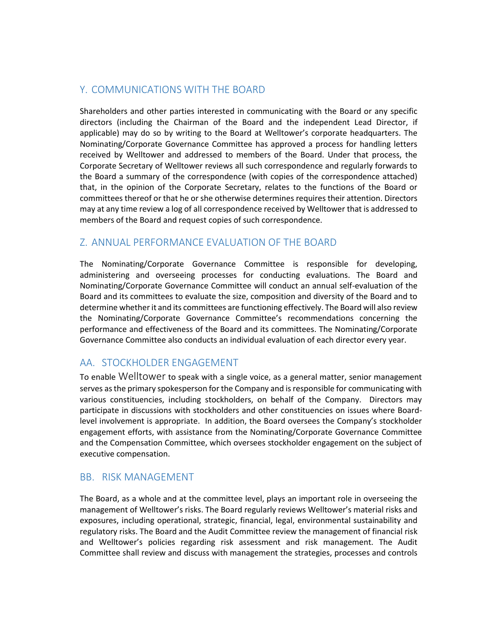# Y. COMMUNICATIONS WITH THE BOARD

Shareholders and other parties interested in communicating with the Board or any specific directors (including the Chairman of the Board and the independent Lead Director, if applicable) may do so by writing to the Board at Welltower's corporate headquarters. The Nominating/Corporate Governance Committee has approved a process for handling letters received by Welltower and addressed to members of the Board. Under that process, the Corporate Secretary of Welltower reviews all such correspondence and regularly forwards to the Board a summary of the correspondence (with copies of the correspondence attached) that, in the opinion of the Corporate Secretary, relates to the functions of the Board or committees thereof or that he or she otherwise determines requires their attention. Directors may at any time review a log of all correspondence received by Welltower that is addressed to members of the Board and request copies of such correspondence.

# Z. ANNUAL PERFORMANCE EVALUATION OF THE BOARD

The Nominating/Corporate Governance Committee is responsible for developing, administering and overseeing processes for conducting evaluations. The Board and Nominating/Corporate Governance Committee will conduct an annual self-evaluation of the Board and its committees to evaluate the size, composition and diversity of the Board and to determine whether it and its committees are functioning effectively. The Board will also review the Nominating/Corporate Governance Committee's recommendations concerning the performance and effectiveness of the Board and its committees. The Nominating/Corporate Governance Committee also conducts an individual evaluation of each director every year.

### AA. STOCKHOLDER ENGAGEMENT

To enable Welltower to speak with a single voice, as a general matter, senior management serves as the primary spokesperson for the Company and is responsible for communicating with various constituencies, including stockholders, on behalf of the Company. Directors may participate in discussions with stockholders and other constituencies on issues where Boardlevel involvement is appropriate. In addition, the Board oversees the Company's stockholder engagement efforts, with assistance from the Nominating/Corporate Governance Committee and the Compensation Committee, which oversees stockholder engagement on the subject of executive compensation.

# BB. RISK MANAGEMENT

The Board, as a whole and at the committee level, plays an important role in overseeing the management of Welltower's risks. The Board regularly reviews Welltower's material risks and exposures, including operational, strategic, financial, legal, environmental sustainability and regulatory risks. The Board and the Audit Committee review the management of financial risk and Welltower's policies regarding risk assessment and risk management. The Audit Committee shall review and discuss with management the strategies, processes and controls